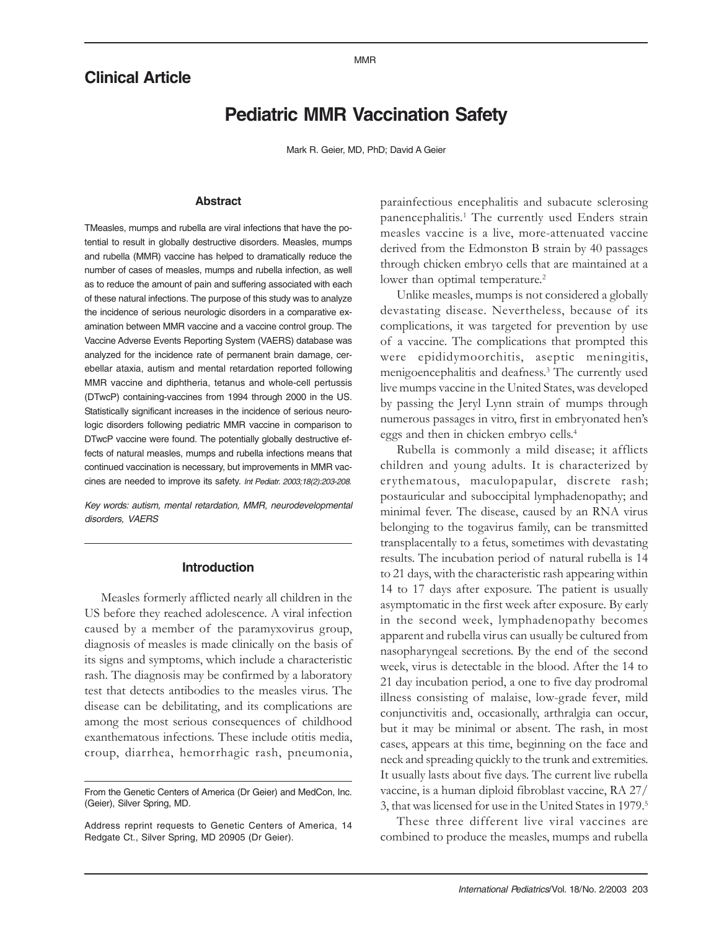#### MMR

# **Clinical Article**

# **Pediatric MMR Vaccination Safety**

Mark R. Geier, MD, PhD; David A Geier

#### **Abstract**

TMeasles, mumps and rubella are viral infections that have the potential to result in globally destructive disorders. Measles, mumps and rubella (MMR) vaccine has helped to dramatically reduce the number of cases of measles, mumps and rubella infection, as well as to reduce the amount of pain and suffering associated with each of these natural infections. The purpose of this study was to analyze the incidence of serious neurologic disorders in a comparative examination between MMR vaccine and a vaccine control group. The Vaccine Adverse Events Reporting System (VAERS) database was analyzed for the incidence rate of permanent brain damage, cerebellar ataxia, autism and mental retardation reported following MMR vaccine and diphtheria, tetanus and whole-cell pertussis (DTwcP) containing-vaccines from 1994 through 2000 in the US. Statistically significant increases in the incidence of serious neurologic disorders following pediatric MMR vaccine in comparison to DTwcP vaccine were found. The potentially globally destructive effects of natural measles, mumps and rubella infections means that continued vaccination is necessary, but improvements in MMR vaccines are needed to improve its safety. Int Pediatr. 2003;18(2):203-208.

Key words: autism, mental retardation, MMR, neurodevelopmental disorders, VAERS

#### **Introduction**

Measles formerly afflicted nearly all children in the US before they reached adolescence. A viral infection caused by a member of the paramyxovirus group, diagnosis of measles is made clinically on the basis of its signs and symptoms, which include a characteristic rash. The diagnosis may be confirmed by a laboratory test that detects antibodies to the measles virus. The disease can be debilitating, and its complications are among the most serious consequences of childhood exanthematous infections. These include otitis media, croup, diarrhea, hemorrhagic rash, pneumonia,

parainfectious encephalitis and subacute sclerosing panencephalitis.<sup>1</sup> The currently used Enders strain measles vaccine is a live, more-attenuated vaccine derived from the Edmonston B strain by 40 passages through chicken embryo cells that are maintained at a lower than optimal temperature.<sup>2</sup>

Unlike measles, mumps is not considered a globally devastating disease. Nevertheless, because of its complications, it was targeted for prevention by use of a vaccine. The complications that prompted this were epididymoorchitis, aseptic meningitis, menigoencephalitis and deafness.3 The currently used live mumps vaccine in the United States, was developed by passing the Jeryl Lynn strain of mumps through numerous passages in vitro, first in embryonated henís eggs and then in chicken embryo cells.<sup>4</sup>

Rubella is commonly a mild disease; it afflicts children and young adults. It is characterized by erythematous, maculopapular, discrete rash; postauricular and suboccipital lymphadenopathy; and minimal fever. The disease, caused by an RNA virus belonging to the togavirus family, can be transmitted transplacentally to a fetus, sometimes with devastating results. The incubation period of natural rubella is 14 to 21 days, with the characteristic rash appearing within 14 to 17 days after exposure. The patient is usually asymptomatic in the first week after exposure. By early in the second week, lymphadenopathy becomes apparent and rubella virus can usually be cultured from nasopharyngeal secretions. By the end of the second week, virus is detectable in the blood. After the 14 to 21 day incubation period, a one to five day prodromal illness consisting of malaise, low-grade fever, mild conjunctivitis and, occasionally, arthralgia can occur, but it may be minimal or absent. The rash, in most cases, appears at this time, beginning on the face and neck and spreading quickly to the trunk and extremities. It usually lasts about five days. The current live rubella vaccine, is a human diploid fibroblast vaccine, RA 27/ 3, that was licensed for use in the United States in 1979.5

These three different live viral vaccines are combined to produce the measles, mumps and rubella

From the Genetic Centers of America (Dr Geier) and MedCon, Inc. (Geier), Silver Spring, MD.

Address reprint requests to Genetic Centers of America, 14 Redgate Ct., Silver Spring, MD 20905 (Dr Geier).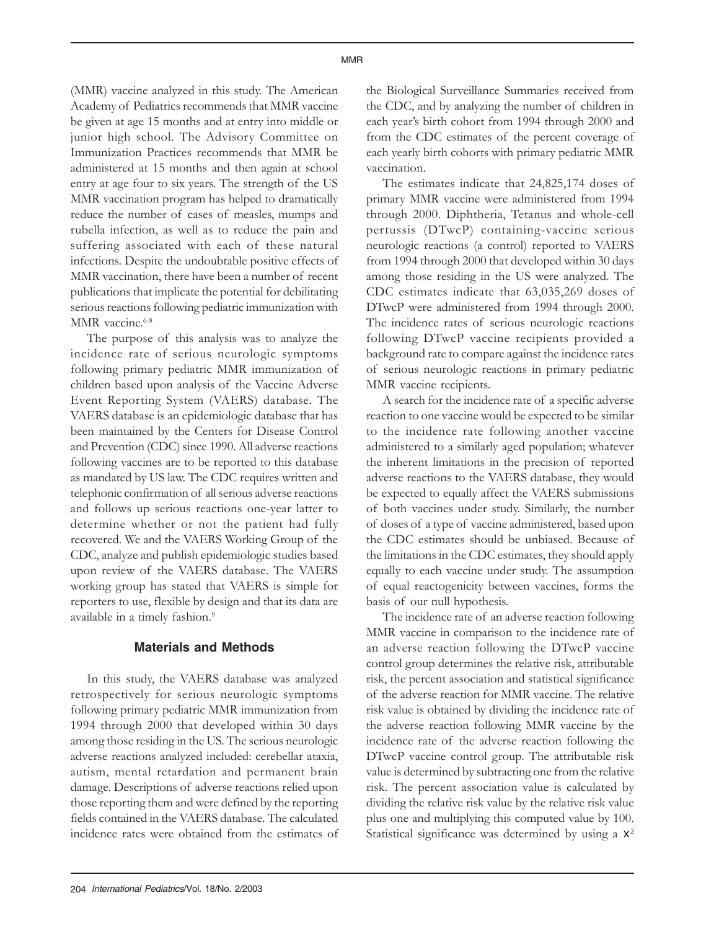(MMR) vaccine analyzed in this study. The American Academy of Pediatrics recommends that MMR vaccine be given at age 15 months and at entry into middle or junior high school. The Advisory Committee on Immunization Practices recommends that MMR be administered at 15 months and then again at school entry at age four to six years. The strength of the US MMR vaccination program has helped to dramatically reduce the number of cases of measles, mumps and rubella infection, as well as to reduce the pain and suffering associated with each of these natural infections. Despite the undoubtable positive effects of MMR vaccination, there have been a number of recent publications that implicate the potential for debilitating serious reactions following pediatric immunization with MMR vaccine.<sup>6-8</sup>

The purpose of this analysis was to analyze the incidence rate of serious neurologic symptoms following primary pediatric MMR immunization of children based upon analysis of the Vaccine Adverse Event Reporting System (VAERS) database. The VAERS database is an epidemiologic database that has been maintained by the Centers for Disease Control and Prevention (CDC) since 1990. All adverse reactions following vaccines are to be reported to this database as mandated by US law. The CDC requires written and telephonic confirmation of all serious adverse reactions and follows up serious reactions one-year latter to determine whether or not the patient had fully recovered. We and the VAERS Working Group of the CDC, analyze and publish epidemiologic studies based upon review of the VAERS database. The VAERS working group has stated that VAERS is simple for reporters to use, flexible by design and that its data are available in a timely fashion.<sup>9</sup>

### **Materials and Methods**

In this study, the VAERS database was analyzed retrospectively for serious neurologic symptoms following primary pediatric MMR immunization from 1994 through 2000 that developed within 30 days among those residing in the US. The serious neurologic adverse reactions analyzed included: cerebellar ataxia, autism, mental retardation and permanent brain damage. Descriptions of adverse reactions relied upon those reporting them and were defined by the reporting fields contained in the VAERS database. The calculated incidence rates were obtained from the estimates of the Biological Surveillance Summaries received from the CDC, and by analyzing the number of children in each year's birth cohort from 1994 through 2000 and from the CDC estimates of the percent coverage of each yearly birth cohorts with primary pediatric MMR vaccination.

The estimates indicate that 24,825,174 doses of primary MMR vaccine were administered from 1994 through 2000. Diphtheria, Tetanus and whole-cell pertussis (DTwcP) containing-vaccine serious neurologic reactions (a control) reported to VAERS from 1994 through 2000 that developed within 30 days among those residing in the US were analyzed. The CDC estimates indicate that 63,035,269 doses of DTwcP were administered from 1994 through 2000. The incidence rates of serious neurologic reactions following DTwcP vaccine recipients provided a background rate to compare against the incidence rates of serious neurologic reactions in primary pediatric MMR vaccine recipients.

A search for the incidence rate of a specific adverse reaction to one vaccine would be expected to be similar to the incidence rate following another vaccine administered to a similarly aged population; whatever the inherent limitations in the precision of reported adverse reactions to the VAERS database, they would be expected to equally affect the VAERS submissions of both vaccines under study. Similarly, the number of doses of a type of vaccine administered, based upon the CDC estimates should be unbiased. Because of the limitations in the CDC estimates, they should apply equally to each vaccine under study. The assumption of equal reactogenicity between vaccines, forms the basis of our null hypothesis.

The incidence rate of an adverse reaction following MMR vaccine in comparison to the incidence rate of an adverse reaction following the DTwcP vaccine control group determines the relative risk, attributable risk, the percent association and statistical significance of the adverse reaction for MMR vaccine. The relative risk value is obtained by dividing the incidence rate of the adverse reaction following MMR vaccine by the incidence rate of the adverse reaction following the DTwcP vaccine control group. The attributable risk value is determined by subtracting one from the relative risk. The percent association value is calculated by dividing the relative risk value by the relative risk value plus one and multiplying this computed value by 100. Statistical significance was determined by using a  $x^2$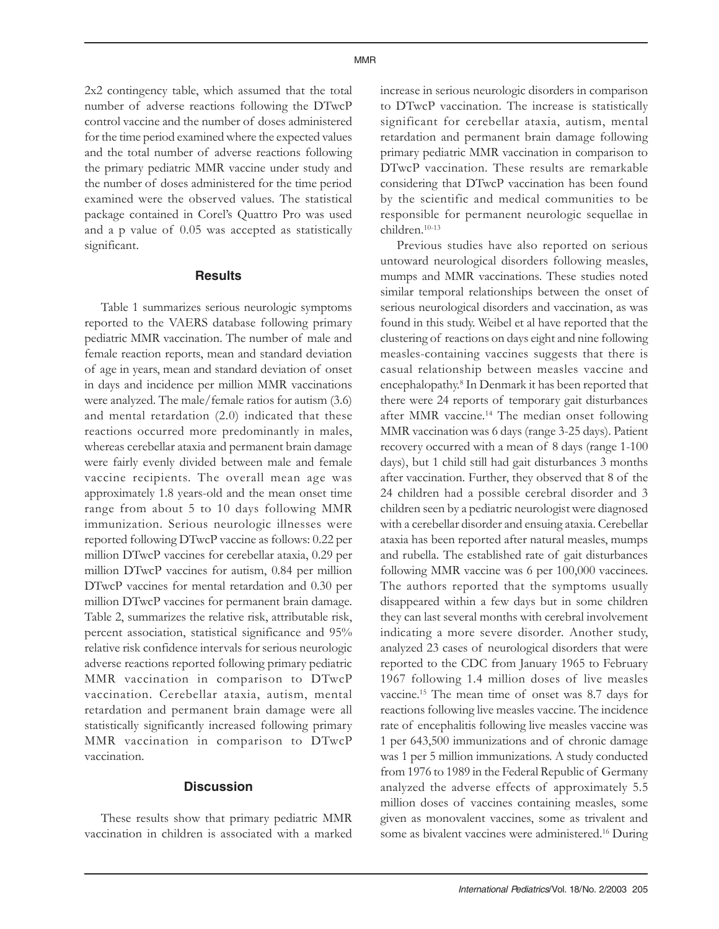2x2 contingency table, which assumed that the total number of adverse reactions following the DTwcP control vaccine and the number of doses administered for the time period examined where the expected values and the total number of adverse reactions following the primary pediatric MMR vaccine under study and the number of doses administered for the time period examined were the observed values. The statistical package contained in Corel's Ouattro Pro was used and a p value of 0.05 was accepted as statistically significant.

#### **Results**

Table 1 summarizes serious neurologic symptoms reported to the VAERS database following primary pediatric MMR vaccination. The number of male and female reaction reports, mean and standard deviation of age in years, mean and standard deviation of onset in days and incidence per million MMR vaccinations were analyzed. The male/female ratios for autism (3.6) and mental retardation (2.0) indicated that these reactions occurred more predominantly in males, whereas cerebellar ataxia and permanent brain damage were fairly evenly divided between male and female vaccine recipients. The overall mean age was approximately 1.8 years-old and the mean onset time range from about 5 to 10 days following MMR immunization. Serious neurologic illnesses were reported following DTwcP vaccine as follows: 0.22 per million DTwcP vaccines for cerebellar ataxia, 0.29 per million DTwcP vaccines for autism, 0.84 per million DTwcP vaccines for mental retardation and 0.30 per million DTwcP vaccines for permanent brain damage. Table 2, summarizes the relative risk, attributable risk, percent association, statistical significance and 95% relative risk confidence intervals for serious neurologic adverse reactions reported following primary pediatric MMR vaccination in comparison to DTwcP vaccination. Cerebellar ataxia, autism, mental retardation and permanent brain damage were all statistically significantly increased following primary MMR vaccination in comparison to DTwcP vaccination.

## **Discussion**

These results show that primary pediatric MMR vaccination in children is associated with a marked

increase in serious neurologic disorders in comparison to DTwcP vaccination. The increase is statistically significant for cerebellar ataxia, autism, mental retardation and permanent brain damage following primary pediatric MMR vaccination in comparison to DTwcP vaccination. These results are remarkable considering that DTwcP vaccination has been found by the scientific and medical communities to be responsible for permanent neurologic sequellae in children.10-13

Previous studies have also reported on serious untoward neurological disorders following measles, mumps and MMR vaccinations. These studies noted similar temporal relationships between the onset of serious neurological disorders and vaccination, as was found in this study. Weibel et al have reported that the clustering of reactions on days eight and nine following measles-containing vaccines suggests that there is casual relationship between measles vaccine and encephalopathy.8 In Denmark it has been reported that there were 24 reports of temporary gait disturbances after MMR vaccine.<sup>14</sup> The median onset following MMR vaccination was 6 days (range 3-25 days). Patient recovery occurred with a mean of 8 days (range 1-100 days), but 1 child still had gait disturbances 3 months after vaccination. Further, they observed that 8 of the 24 children had a possible cerebral disorder and 3 children seen by a pediatric neurologist were diagnosed with a cerebellar disorder and ensuing ataxia. Cerebellar ataxia has been reported after natural measles, mumps and rubella. The established rate of gait disturbances following MMR vaccine was 6 per 100,000 vaccinees. The authors reported that the symptoms usually disappeared within a few days but in some children they can last several months with cerebral involvement indicating a more severe disorder. Another study, analyzed 23 cases of neurological disorders that were reported to the CDC from January 1965 to February 1967 following 1.4 million doses of live measles vaccine.15 The mean time of onset was 8.7 days for reactions following live measles vaccine. The incidence rate of encephalitis following live measles vaccine was 1 per 643,500 immunizations and of chronic damage was 1 per 5 million immunizations. A study conducted from 1976 to 1989 in the Federal Republic of Germany analyzed the adverse effects of approximately 5.5 million doses of vaccines containing measles, some given as monovalent vaccines, some as trivalent and some as bivalent vaccines were administered.<sup>16</sup> During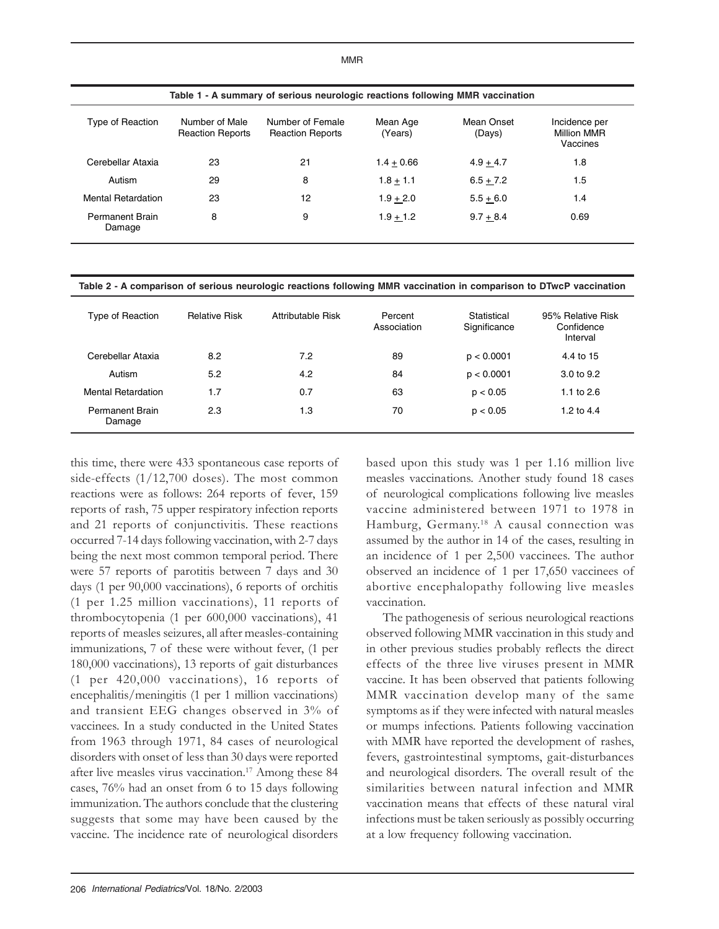| Table 1 - A summary of serious neurologic reactions following MMR vaccination |                                           |                                             |                     |                      |                                          |  |  |
|-------------------------------------------------------------------------------|-------------------------------------------|---------------------------------------------|---------------------|----------------------|------------------------------------------|--|--|
| Reaction                                                                      | Number of Male<br><b>Reaction Reports</b> | Number of Female<br><b>Reaction Reports</b> | Mean Age<br>(Years) | Mean Onset<br>(Davs) | Incidence per<br>Million MMR<br>Vaccines |  |  |

| Cerebellar Ataxia                | 23 | 21 | $1.4 + 0.66$ | $4.9 + 4.7$ | 1.8     |
|----------------------------------|----|----|--------------|-------------|---------|
| Autism                           | 29 | 8  | $1.8 + 1.1$  | $6.5 + 7.2$ | $1.5\,$ |
| <b>Mental Retardation</b>        | 23 | 12 | $1.9 + 2.0$  | $5.5 + 6.0$ | 1.4     |
| <b>Permanent Brain</b><br>Damage | 8  | 9  | $1.9 + 1.2$  | $9.7 + 8.4$ | 0.69    |
|                                  |    |    |              |             |         |

**Table 2 - A comparison of serious neurologic reactions following MMR vaccination in comparison to DTwcP vaccination**

| Type of Reaction                 | <b>Relative Risk</b> | Attributable Risk | Percent<br>Association | Statistical<br>Significance | 95% Relative Risk<br>Confidence<br>Interval |
|----------------------------------|----------------------|-------------------|------------------------|-----------------------------|---------------------------------------------|
| Cerebellar Ataxia                | 8.2                  | 7.2               | 89                     | p < 0.0001                  | 4.4 to 15                                   |
| Autism                           | 5.2                  | 4.2               | 84                     | p < 0.0001                  | $3.0 \text{ to } 9.2$                       |
| <b>Mental Retardation</b>        | 1.7                  | 0.7               | 63                     | p < 0.05                    | 1.1 to $2.6$                                |
| <b>Permanent Brain</b><br>Damage | 2.3                  | 1.3               | 70                     | p < 0.05                    | 1.2 to $4.4$                                |

this time, there were 433 spontaneous case reports of side-effects (1/12,700 doses). The most common reactions were as follows: 264 reports of fever, 159 reports of rash, 75 upper respiratory infection reports and 21 reports of conjunctivitis. These reactions occurred 7-14 days following vaccination, with 2-7 days being the next most common temporal period. There were 57 reports of parotitis between 7 days and 30 days (1 per 90,000 vaccinations), 6 reports of orchitis (1 per 1.25 million vaccinations), 11 reports of thrombocytopenia (1 per 600,000 vaccinations), 41 reports of measles seizures, all after measles-containing immunizations, 7 of these were without fever, (1 per 180,000 vaccinations), 13 reports of gait disturbances (1 per 420,000 vaccinations), 16 reports of encephalitis/meningitis (1 per 1 million vaccinations) and transient EEG changes observed in 3% of vaccinees. In a study conducted in the United States from 1963 through 1971, 84 cases of neurological disorders with onset of less than 30 days were reported after live measles virus vaccination.17 Among these 84 cases, 76% had an onset from 6 to 15 days following immunization. The authors conclude that the clustering suggests that some may have been caused by the vaccine. The incidence rate of neurological disorders

Type of

based upon this study was 1 per 1.16 million live measles vaccinations. Another study found 18 cases of neurological complications following live measles vaccine administered between 1971 to 1978 in Hamburg, Germany.18 A causal connection was assumed by the author in 14 of the cases, resulting in an incidence of 1 per 2,500 vaccinees. The author observed an incidence of 1 per 17,650 vaccinees of abortive encephalopathy following live measles vaccination.

The pathogenesis of serious neurological reactions observed following MMR vaccination in this study and in other previous studies probably reflects the direct effects of the three live viruses present in MMR vaccine. It has been observed that patients following MMR vaccination develop many of the same symptoms as if they were infected with natural measles or mumps infections. Patients following vaccination with MMR have reported the development of rashes, fevers, gastrointestinal symptoms, gait-disturbances and neurological disorders. The overall result of the similarities between natural infection and MMR vaccination means that effects of these natural viral infections must be taken seriously as possibly occurring at a low frequency following vaccination.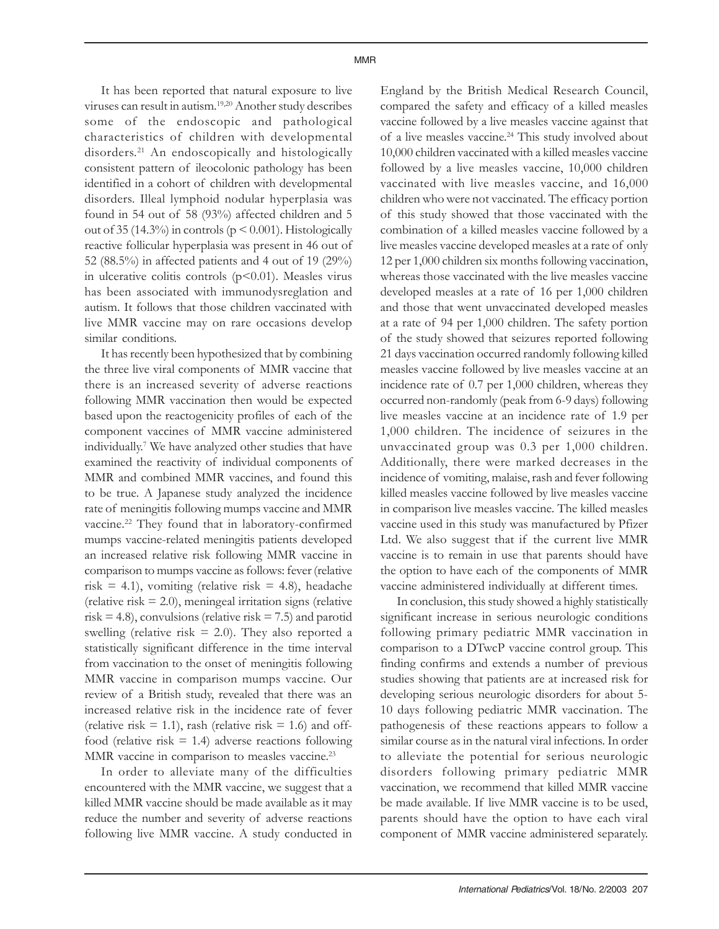It has been reported that natural exposure to live viruses can result in autism.19,20 Another study describes some of the endoscopic and pathological characteristics of children with developmental disorders.<sup>21</sup> An endoscopically and histologically consistent pattern of ileocolonic pathology has been identified in a cohort of children with developmental disorders. Illeal lymphoid nodular hyperplasia was found in 54 out of 58 (93%) affected children and 5 out of 35 (14.3%) in controls ( $p \le 0.001$ ). Histologically reactive follicular hyperplasia was present in 46 out of 52 (88.5%) in affected patients and 4 out of 19 (29%) in ulcerative colitis controls  $(p<0.01)$ . Measles virus has been associated with immunodysreglation and autism. It follows that those children vaccinated with live MMR vaccine may on rare occasions develop similar conditions.

It has recently been hypothesized that by combining the three live viral components of MMR vaccine that there is an increased severity of adverse reactions following MMR vaccination then would be expected based upon the reactogenicity profiles of each of the component vaccines of MMR vaccine administered individually.7 We have analyzed other studies that have examined the reactivity of individual components of MMR and combined MMR vaccines, and found this to be true. A Japanese study analyzed the incidence rate of meningitis following mumps vaccine and MMR vaccine.<sup>22</sup> They found that in laboratory-confirmed mumps vaccine-related meningitis patients developed an increased relative risk following MMR vaccine in comparison to mumps vaccine as follows: fever (relative risk = 4.1), vomiting (relative risk = 4.8), headache  $(relative risk = 2.0)$ , meningeal irritation signs  $(relative$ risk  $= 4.8$ ), convulsions (relative risk  $= 7.5$ ) and parotid swelling (relative risk  $= 2.0$ ). They also reported a statistically significant difference in the time interval from vaccination to the onset of meningitis following MMR vaccine in comparison mumps vaccine. Our review of a British study, revealed that there was an increased relative risk in the incidence rate of fever (relative risk  $= 1.1$ ), rash (relative risk  $= 1.6$ ) and offfood (relative risk  $= 1.4$ ) adverse reactions following MMR vaccine in comparison to measles vaccine.<sup>23</sup>

In order to alleviate many of the difficulties encountered with the MMR vaccine, we suggest that a killed MMR vaccine should be made available as it may reduce the number and severity of adverse reactions following live MMR vaccine. A study conducted in

England by the British Medical Research Council, compared the safety and efficacy of a killed measles vaccine followed by a live measles vaccine against that of a live measles vaccine.<sup>24</sup> This study involved about 10,000 children vaccinated with a killed measles vaccine followed by a live measles vaccine, 10,000 children vaccinated with live measles vaccine, and 16,000 children who were not vaccinated. The efficacy portion of this study showed that those vaccinated with the combination of a killed measles vaccine followed by a live measles vaccine developed measles at a rate of only 12 per 1,000 children six months following vaccination, whereas those vaccinated with the live measles vaccine developed measles at a rate of 16 per 1,000 children and those that went unvaccinated developed measles at a rate of 94 per 1,000 children. The safety portion of the study showed that seizures reported following 21 days vaccination occurred randomly following killed measles vaccine followed by live measles vaccine at an incidence rate of 0.7 per 1,000 children, whereas they occurred non-randomly (peak from 6-9 days) following live measles vaccine at an incidence rate of 1.9 per 1,000 children. The incidence of seizures in the unvaccinated group was 0.3 per 1,000 children. Additionally, there were marked decreases in the incidence of vomiting, malaise, rash and fever following killed measles vaccine followed by live measles vaccine in comparison live measles vaccine. The killed measles vaccine used in this study was manufactured by Pfizer Ltd. We also suggest that if the current live MMR vaccine is to remain in use that parents should have the option to have each of the components of MMR vaccine administered individually at different times.

In conclusion, this study showed a highly statistically significant increase in serious neurologic conditions following primary pediatric MMR vaccination in comparison to a DTwcP vaccine control group. This finding confirms and extends a number of previous studies showing that patients are at increased risk for developing serious neurologic disorders for about 5- 10 days following pediatric MMR vaccination. The pathogenesis of these reactions appears to follow a similar course as in the natural viral infections. In order to alleviate the potential for serious neurologic disorders following primary pediatric MMR vaccination, we recommend that killed MMR vaccine be made available. If live MMR vaccine is to be used, parents should have the option to have each viral component of MMR vaccine administered separately.